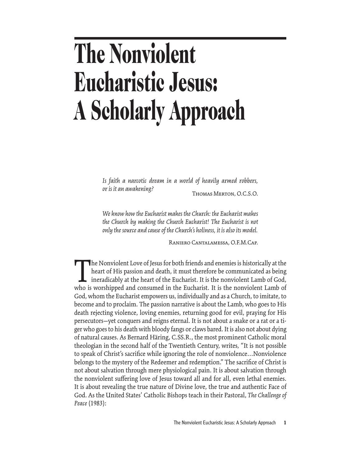# **The Nonviolent Eucharistic Jesus: A Scholarly Approach**

*Is faith a narcotic dream in a world of heavily armed robbers, or is it an awakening?* Thomas Merton, O.C.S.O.

*We know how the Eucharist makes the Church: the Eucharist makes the Church by making the Church Eucharist! The Eucharist is not only the source and cause of the Church's holiness, it is also its model.*

Raniero Cantalamessa, O.F.M.Cap.

The Nonviolent Love of Jesus for both friends and enemies is historically at the<br>heart of His passion and death, it must therefore be communicated as being<br>ineradicably at the heart of the Eucharist. It is the nonviolent L heart of His passion and death, it must therefore be communicated as being ineradicably at the heart of the Eucharist. It is the nonviolent Lamb of God, who is worshipped and consumed in the Eucharist. It is the nonviolent Lamb of God, whom the Eucharist empowers us, individually and as a Church, to imitate, to become and to proclaim. The passion narrative is about the Lamb, who goes to His death rejecting violence, loving enemies, returning good for evil, praying for His persecutors—yet conquers and reigns eternal. It is not about a snake or a rat or a tiger who goes to his death with bloody fangs or claws bared. It is also not about dying of natural causes. As Bernard Häring, C.SS.R., the most prominent Catholic moral theologian in the second half of the Twentieth Century, writes, "It is not possible to speak of Christ's sacrifice while ignoring the role of nonviolence...Nonviolence belongs to the mystery of the Redeemer and redemption." The sacrifice of Christ is not about salvation through mere physiological pain. It is about salvation through the nonviolent suffering love of Jesus toward all and for all, even lethal enemies. It is about revealing the true nature of Divine love, the true and authentic Face of God. As the United States' Catholic Bishops teach in their Pastoral, *The Challenge of Peace* (1983):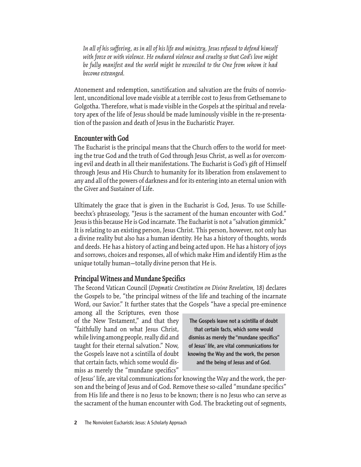*In all of his suffering, as in all of his life and ministry, Jesus refused to defend himself with force or with violence. He endured violence and cruelty so that God's love might be fully manifest and the world might be reconciled to the One from whom it had become estranged.*

Atonement and redemption, sanctification and salvation are the fruits of nonviolent, unconditional love made visible at a terrible cost to Jesus from Gethsemane to Golgotha. Therefore, what is made visible in the Gospels at the spiritual and revelatory apex of the life of Jesus should be made luminously visible in the re-presentation of the passion and death of Jesus in the Eucharistic Prayer.

## **Encounter with God**

The Eucharist is the principal means that the Church offers to the world for meeting the true God and the truth of God through Jesus Christ, as well as for overcoming evil and death in all their manifestations. The Eucharist is God's gift of Himself through Jesus and His Church to humanity for its liberation from enslavement to any and all of the powers of darkness and for its entering into an eternal union with the Giver and Sustainer of Life.

Ultimately the grace that is given in the Eucharist is God, Jesus. To use Schillebeechx's phraseology, "Jesus is the sacrament of the human encounter with God." Jesus is this because He is God incarnate. The Eucharist is not a "salvation gimmick." It is relating to an existing person, Jesus Christ. This person, however, not only has a divine reality but also has a human identity. He has a history of thoughts, words and deeds. He has a history of acting and being acted upon. He has a history of joys and sorrows, choices and responses, all of which make Him and identify Him as the unique totally human—totally divine person that He is.

#### **Principal Witness and Mundane Specifics**

The Second Vatican Council (*Dogmatic Constitution on Divine Revelation,* 18) declares the Gospels to be, "the principal witness of the life and teaching of the incarnate Word, our Savior." It further states that the Gospels "have a special pre-eminence

among all the Scriptures, even those of the New Testament," and that they "faithfully hand on what Jesus Christ, while living among people, really did and taught for their eternal salvation." Now, the Gospels leave not a scintilla of doubt that certain facts, which some would dismiss as merely the "mundane specifics"

The Gospels leave not a scintilla of doubt that certain facts, which some would dismiss as merely the "mundane specifics" of Jesus' life, are vital communications for knowing the Way and the work, the person and the being of Jesus and of God.

of Jesus' life, are vital communications for knowing the Way and the work, the person and the being of Jesus and of God. Remove these so-called "mundane specifics" from His life and there is no Jesus to be known; there is no Jesus who can serve as the sacrament of the human encounter with God. The bracketing out of segments,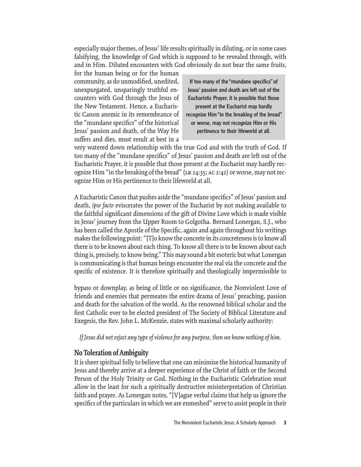especially major themes, of Jesus' life results spiritually in diluting, or in some cases falsifying, the knowledge of God which is supposed to be revealed through, with and in Him. Diluted encounters with God obviously do not bear the same fruits,

for the human being or for the human community, as do unmodified, unedited, unexpurgated, unsparingly truthful encounters with God through the Jesus of the New Testament. Hence, a Eucharistic Canon anemic in its remembrance of the "mundane specifics" of the historical Jesus' passion and death, of the Way He suffers and dies, must result at best in a

If too many of the "mundane specifics" of Jesus' passion and death are left out of the Eucharistic Prayer, it is possible that those present at the Eucharist may hardly recognize Him "in the breaking of the bread" or worse, may not recognize Him or His pertinence to their lifeworld at all.

very watered down relationship with the true God and with the truth of God. If too many of the "mundane specifics" of Jesus' passion and death are left out of the Eucharistic Prayer, it is possible that those present at the Eucharist may hardly recognize Him "in the breaking of the bread" (lk 24:35; ac 2:42) or worse, may not recognize Him or His pertinence to their lifeworld at all.

A Eucharistic Canon that pushes aside the "mundane specifics" of Jesus' passion and death, *ipso facto* eviscerates the power of the Eucharist by not making available to the faithful significant dimensions of the gift of Divine Love which is made visible in Jesus' journey from the Upper Room to Golgotha. Bernard Lonergan, S.J., who has been called the Apostle of the Specific, again and again throughout his writings makes the following point: "[T]o know the concrete in its concreteness is to know all there is to be known about each thing. To know all there is to be known about each thing is, precisely, to know being." This may sound a bit esoteric but what Lonergan is communicating is that human beings encounter the real via the concrete and the specific of existence. It is therefore spiritually and theologically impermissible to

bypass or downplay, as being of little or no significance, the Nonviolent Love of friends and enemies that permeates the entire drama of Jesus' preaching, passion and death for the salvation of the world. As the renowned biblical scholar and the first Catholic ever to be elected president of The Society of Biblical Literature and Exegesis, the Rev. John L. McKenzie, states with maximal scholarly authority:

*If Jesus did not reject any type of violence for any purpose, then we know nothing of him.*

## **No Toleration of Ambiguity**

It is sheer spiritual folly to believe that one can minimize the historical humanity of Jesus and thereby arrive at a deeper experience of the Christ of faith or the Second Person of the Holy Trinity or God. Nothing in the Eucharistic Celebration must allow in the least for such a spiritually destructive misinterpretation of Christian faith and prayer. As Lonergan notes, "[V]ague verbal claims that help us ignore the specifics of the particulars in which we are enmeshed" serve to assist people in their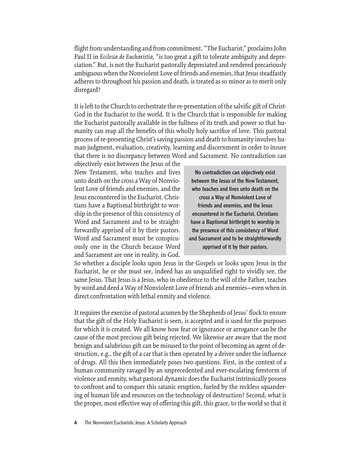flight from understanding and from commitment. "The Eucharist," proclaims John Paul II in *Ecclesia de Eucharistia,* "is too great a gift to tolerate ambiguity and depreciation." But, is not the Eucharist pastorally depreciated and rendered precariously ambiguous when the Nonviolent Love of friends and enemies, that Jesus steadfastly adheres to throughout his passion and death, is treated as so minor as to merit only disregard?

It is left to the Church to orchestrate the re-presentation of the salvific gift of Christ-God in the Eucharist to the world. It is the Church that is responsible for making the Eucharist pastorally available in the fullness of its truth and power so that humanity can reap all the benefits of this wholly holy sacrifice of love. This pastoral process of re-presenting Christ's saving passion and death to humanity involves human judgment, evaluation, creativity, learning and discernment in order to insure that there is no discrepancy between Word and Sacrament. No contradiction can

objectively exist between the Jesus of the New Testament, who teaches and lives unto death on the cross a Way of Nonviolent Love of friends and enemies, and the Jesus encountered in the Eucharist. Christians have a Baptismal birthright to worship in the presence of this consistency of Word and Sacrament and to be straightforwardly apprised of it by their pastors. Word and Sacrament must be conspicuously one in the Church because Word and Sacrament are one in reality, in God.

No contradiction can objectively exist between the Jesus of the New Testament, who teaches and lives unto death on the cross a Way of Nonviolent Love of friends and enemies, and the Jesus encountered in the Eucharist. Christians have a Baptismal birthright to worship in the presence of this consistency of Word and Sacrament and to be straightforwardly apprised of it by their pastors.

So whether a disciple looks upon Jesus in the Gospels or looks upon Jesus in the Eucharist, he or she must see, indeed has an unqualified right to vividly see, the same Jesus. That Jesus is a Jesus, who in obedience to the will of the Father, teaches by word and deed a Way of Nonviolent Love of friends and enemies—even when in direct confrontation with lethal enmity and violence.

It requires the exercise of pastoral acumen by the Shepherds of Jesus' flock to ensure that the gift of the Holy Eucharist is seen, is accepted and is used for the purposes for which it is created. We all know how fear or ignorance or arrogance can be the cause of the most precious gift being rejected. We likewise are aware that the most benign and salubrious gift can be misused to the point of becoming an agent of destruction, e.g., the gift of a car that is then operated by a driver under the influence of drugs. All this then immediately poses two questions. First, in the context of a human community ravaged by an unprecedented and ever-escalating firestorm of violence and enmity, what pastoral dynamic does the Eucharist intrinsically possess to confront and to conquer this satanic eruption, fueled by the reckless squandering of human life and resources on the technology of destruction? Second, what is the proper, most effective way of offering this gift, this grace, to the world so that it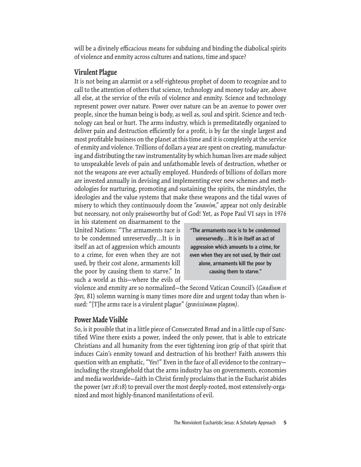will be a divinely efficacious means for subduing and binding the diabolical spirits of violence and enmity across cultures and nations, time and space?

#### **Virulent Plague**

It is not being an alarmist or a self-righteous prophet of doom to recognize and to call to the attention of others that science, technology and money today are, above all else, at the service of the evils of violence and enmity. Science and technology represent power over nature. Power over nature can be an avenue to power over people, since the human being is body, as well as, soul and spirit. Science and technology can heal or hurt. The arms industry, which is premeditatedly organized to deliver pain and destruction efficiently for a profit, is by far the single largest and most profitable business on the planet at this time and it is completely at the service of enmity and violence. Trillions of dollars a year are spent on creating, manufacturing and distributing the raw instrumentality by which human lives are made subject to unspeakable levels of pain and unfathomable levels of destruction, whether or not the weapons are ever actually employed. Hundreds of billions of dollars more are invested annually in devising and implementing ever new schemes and methodologies for nurturing, promoting and sustaining the spirits, the mindstyles, the ideologies and the value systems that make these weapons and the tidal waves of misery to which they continuously doom the *"anawim,"* appear not only desirable but necessary, not only praiseworthy but of God! Yet, as Pope Paul VI says in 1976

in his statement on disarmament to the United Nations: "The armaments race is to be condemned unreservedly…It is in itself an act of aggression which amounts to a crime, for even when they are not used, by their cost alone, armaments kill the poor by causing them to starve." In such a world as this—where the evils of

"The armaments race is to be condemned unreservedly…It is in itself an act of aggression which amounts to a crime, for even when they are not used, by their cost alone, armaments kill the poor by causing them to starve."

violence and enmity are so normalized—the Second Vatican Council's (*Gaudium et Spes,* 81) solemn warning is many times more dire and urgent today than when issued: "[T]he arms race is a virulent plague" *(gravissimam plagam)*.

#### **Power Made Visible**

So, is it possible that in a little piece of Consecrated Bread and in a little cup of Sanctified Wine there exists a power, indeed the only power, that is able to extricate Christians and all humanity from the ever tightening iron grip of that spirit that induces Cain's enmity toward and destruction of his brother? Faith answers this question with an emphatic, "Yes!" Even in the face of all evidence to the contrary including the stranglehold that the arms industry has on governments, economies and media worldwide–faith in Christ firmly proclaims that in the Eucharist abides the power (MT 28:18) to prevail over the most deeply-rooted, most extensively-organized and most highly-financed manifestations of evil.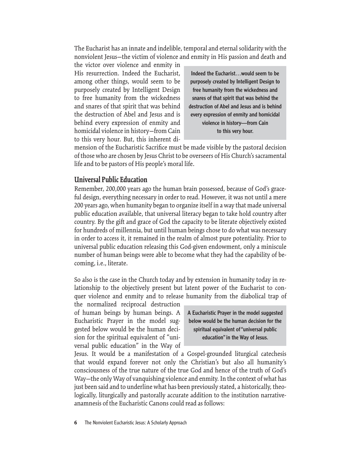The Eucharist has an innate and indelible, temporal and eternal solidarity with the nonviolent Jesus—the victim of violence and enmity in His passion and death and

the victor over violence and enmity in His resurrection. Indeed the Eucharist, among other things, would seem to be purposely created by Intelligent Design to free humanity from the wickedness and snares of that spirit that was behind the destruction of Abel and Jesus and is behind every expression of enmity and homicidal violence in history—from Cain to this very hour. But, this inherent di-

Indeed the Eucharist…would seem to be purposely created by Intelligent Design to free humanity from the wickedness and snares of that spirit that was behind the destruction of Abel and Jesus and is behind every expression of enmity and homicidal violence in history—from Cain to this very hour.

mension of the Eucharistic Sacrifice must be made visible by the pastoral decision of those who are chosen by Jesus Christ to be overseers of His Church's sacramental life and to be pastors of His people's moral life.

# **Universal Public Education**

Remember, 200,000 years ago the human brain possessed, because of God's graceful design, everything necessary in order to read. However, it was not until a mere 200 years ago, when humanity began to organize itself in a way that made universal public education available, that universal literacy began to take hold country after country. By the gift and grace of God the capacity to be literate objectively existed for hundreds of millennia, but until human beings chose to do what was necessary in order to access it, it remained in the realm of almost pure potentiality. Prior to universal public education releasing this God-given endowment, only a miniscule number of human beings were able to become what they had the capability of becoming, i.e., literate.

So also is the case in the Church today and by extension in humanity today in relationship to the objectively present but latent power of the Eucharist to conquer violence and enmity and to release humanity from the diabolical trap of

the normalized reciprocal destruction of human beings by human beings. A Eucharistic Prayer in the model suggested below would be the human decision for the spiritual equivalent of "universal public education" in the Way of

A Eucharistic Prayer in the model suggested below would be the human decision for the spiritual equivalent of "universal public education" in the Way of Jesus.

Jesus. It would be a manifestation of a Gospel-grounded liturgical catechesis that would expand forever not only the Christian's but also all humanity's consciousness of the true nature of the true God and hence of the truth of God's Way—the only Way of vanquishing violence and enmity. In the context of what has just been said and to underline what has been previously stated, a historically, theologically, liturgically and pastorally accurate addition to the institution narrativeanamnesis of the Eucharistic Canons could read as follows:

**6** The Nonviolent Eucharistic Jesus: A Scholarly Approach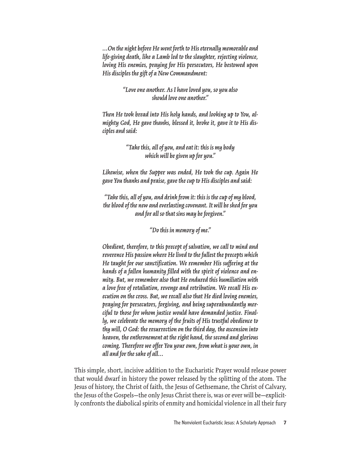*…On the night before He went forth to His eternally memorable and life-giving death, like a Lamb led to the slaughter, rejecting violence, loving His enemies, praying for His persecutors, He bestowed upon His disciples the gift of a New Commandment:*

> *"Love one another. As I have loved you, so you also should love one another."*

*Then He took bread into His holy hands, and looking up to You, almighty God, He gave thanks, blessed it, broke it, gave it to His disciples and said:*

> *"Take this, all of you, and eat it: this is my body which will be given up for you."*

*Likewise, when the Supper was ended, He took the cup. Again He gave You thanks and praise, gave the cup to His disciples and said:* 

*"Take this, all of you, and drink from it: this is the cup of my blood, the blood of the new and everlasting covenant. It will be shed for you and for all so that sins may be forgiven."* 

*"Do this in memory of me."*

*Obedient, therefore, to this precept of salvation, we call to mind and reverence His passion where He lived to the fullest the precepts which He taught for our sanctification. We remember His suffering at the hands of a fallen humanity filled with the spirit of violence and enmity. But, we remember also that He endured this humiliation with a love free of retaliation, revenge and retribution. We recall His execution on the cross. But, we recall also that He died loving enemies, praying for persecutors, forgiving, and being superabundantly merciful to those for whom justice would have demanded justice. Finally, we celebrate the memory of the fruits of His trustful obedience to thy will, O God: the resurrection on the third day, the ascension into heaven, the enthronement at the right hand, the second and glorious coming. Therefore we offer You your own, from what is your own, in all and for the sake of all…*

This simple, short, incisive addition to the Eucharistic Prayer would release power that would dwarf in history the power released by the splitting of the atom. The Jesus of history, the Christ of faith, the Jesus of Gethsemane, the Christ of Calvary, the Jesus of the Gospels—the only Jesus Christ there is, was or ever will be—explicitly confronts the diabolical spirits of enmity and homicidal violence in all their fury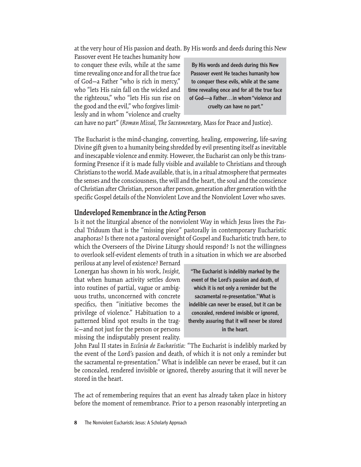at the very hour of His passion and death. By His words and deeds during this New

Passover event He teaches humanity how to conquer these evils, while at the same time revealing once and for all the true face of God—a Father "who is rich in mercy," who "lets His rain fall on the wicked and the righteous," who "lets His sun rise on the good and the evil," who forgives limitlessly and in whom "violence and cruelty

By His words and deeds during this New Passover event He teaches humanity how to conquer these evils, while at the same time revealing once and for all the true face of God—a Father…in whom "violence and cruelty can have no part."

can have no part" (*Roman Missal, The Sacramentary,* Mass for Peace and Justice).

The Eucharist is the mind-changing, converting, healing, empowering, life-saving Divine gift given to a humanity being shredded by evil presenting itself as inevitable and inescapable violence and enmity. However, the Eucharist can only be this transforming Presence if it is made fully visible and available to Christians and through Christians to the world. Made available, that is, in a ritual atmosphere that permeates the senses and the consciousness, the will and the heart, the soul and the conscience of Christian after Christian, person after person, generation after generation with the specific Gospel details of the Nonviolent Love and the Nonviolent Lover who saves.

#### **Undeveloped Remembrance in the Acting Person**

Is it not the liturgical absence of the nonviolent Way in which Jesus lives the Paschal Triduum that is the "missing piece" pastorally in contemporary Eucharistic anaphoras? Is there not a pastoral oversight of Gospel and Eucharistic truth here, to which the Overseers of the Divine Liturgy should respond? Is not the willingness to overlook self-evident elements of truth in a situation in which we are absorbed

perilous at any level of existence? Bernard Lonergan has shown in his work, *Insight,* that when human activity settles down into routines of partial, vague or ambiguous truths, unconcerned with concrete specifics, then "initiative becomes the privilege of violence." Habituation to a patterned blind spot results in the tragic—and not just for the person or persons missing the indisputably present reality.

"The Eucharist is indelibly marked by the event of the Lord's passion and death, of which it is not only a reminder but the sacramental re-presentation." What is indelible can never be erased, but it can be concealed, rendered invisible or ignored, thereby assuring that it will never be stored in the heart.

John Paul II states in *Ecclesia de Eucharistia:* "The Eucharist is indelibly marked by the event of the Lord's passion and death, of which it is not only a reminder but the sacramental re-presentation." What is indelible can never be erased, but it can be concealed, rendered invisible or ignored, thereby assuring that it will never be stored in the heart.

The act of remembering requires that an event has already taken place in history before the moment of remembrance. Prior to a person reasonably interpreting an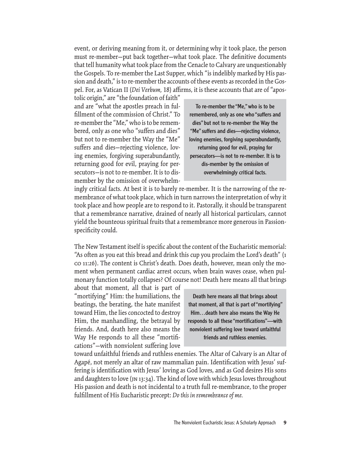event, or deriving meaning from it, or determining why it took place, the person must re-member-put back together-what took place. The definitive documents that tell humanity what took place from the Cenacle to Calvary are unquestionably the Gospels. To re-member the Last Supper, which "is indelibly marked by His passion and death," is to re-member the accounts of these events as recorded in the Gospel. For, as Vatican II (Dei Verbum, 18) affirms, it is these accounts that are of "apos-

tolic origin," are "the foundation of faith" and are "what the apostles preach in fulfillment of the commission of Christ." To re-member the "Me," who is to be remembered, only as one who "suffers and dies" but not to re-member the Way the "Me" suffers and dies—rejecting violence, loving enemies, forgiving superabundantly, returning good for evil, praying for persecutors—is not to re-member. It is to dismember by the omission of overwhelm-

To re-member the "Me," who is to be remembered, only as one who "suffers and dies" but not to re-member the Way the "Me" suffers and dies—rejecting violence, loving enemies, forgiving superabundantly, returning good for evil, praying for persecutors—is not to re-member. It is to dis-member by the omission of overwhelmingly critical facts.

ingly critical facts. At best it is to barely re-member. It is the narrowing of the remembrance of what took place, which in turn narrows the interpretation of why it took place and how people are to respond to it. Pastorally, it should be transparent that a remembrance narrative, drained of nearly all historical particulars, cannot yield the bounteous spiritual fruits that a remembrance more generous in Passionspecificity could.

The New Testament itself is specific about the content of the Eucharistic memorial: "As often as you eat this bread and drink this cup you proclaim the Lord's death" (1 co 11:26). The content is Christ's death. Does death, however, mean only the moment when permanent cardiac arrest occurs, when brain waves cease, when pulmonary function totally collapses? Of course not! Death here means all that brings

about that moment, all that is part of "mortifying" Him: the humiliations, the beatings, the berating, the hate manifest toward Him, the lies concocted to destroy Him, the manhandling, the betrayal by friends. And, death here also means the Way He responds to all these "mortifications"—with nonviolent suffering love

Death here means all that brings about that moment, all that is part of "mortifying" Him…death here also means the Way He responds to all these "mortifications"—with nonviolent suffering love toward unfaithful friends and ruthless enemies.

toward unfaithful friends and ruthless enemies. The Altar of Calvary is an Altar of Agapé, not merely an altar of raw mammalian pain. Identification with Jesus' suffering is identification with Jesus' loving as God loves, and as God desires His sons and daughters to love (jn 13:34). The kind of love with which Jesus loves throughout His passion and death is not incidental to a truth full re-membrance, to the proper fulfillment of His Eucharistic precept: *Do this in remembrance of me*.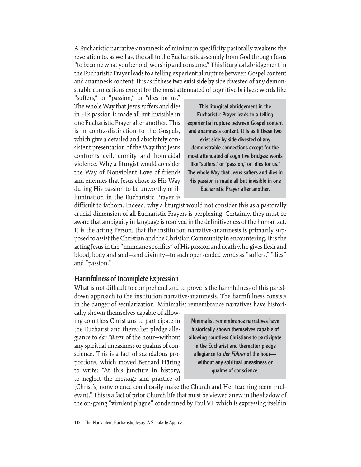A Eucharistic narrative-anamnesis of minimum specificity pastorally weakens the revelation to, as well as, the call to the Eucharistic assembly from God through Jesus "to become what you behold, worship and consume." This liturgical abridgement in the Eucharistic Prayer leads to a telling experiential rupture between Gospel content and anamnesis content. It is as if these two exist side by side divested of any demonstrable connections except for the most attenuated of cognitive bridges: words like

"suffers," or "passion," or "dies for us." The whole Way that Jesus suffers and dies in His passion is made all but invisible in one Eucharistic Prayer after another. This is in contra-distinction to the Gospels, which give a detailed and absolutely consistent presentation of the Way that Jesus confronts evil, enmity and homicidal violence. Why a liturgist would consider the Way of Nonviolent Love of friends and enemies that Jesus chose as His Way during His passion to be unworthy of illumination in the Eucharistic Prayer is

This liturgical abridgement in the Eucharistic Prayer leads to a telling experiential rupture between Gospel content and anamnesis content. It is as if these two exist side by side divested of any demonstrable connections except for the most attenuated of cognitive bridges: words like "suffers," or "passion," or "dies for us." The whole Way that Jesus suffers and dies in His passion is made all but invisible in one Eucharistic Prayer after another.

difficult to fathom. Indeed, why a liturgist would not consider this as a pastorally crucial dimension of all Eucharistic Prayers is perplexing. Certainly, they must be aware that ambiguity in language is resolved in the definitiveness of the human act. It is the acting Person, that the institution narrative-anamnesis is primarily supposed to assist the Christian and the Christian Community in encountering. It is the acting Jesus in the "mundane specifics" of His passion and death who gives flesh and blood, body and soul—and divinity—to such open-ended words as "suffers," "dies" and "passion."

#### **Harmfulness of Incomplete Expression**

What is not difficult to comprehend and to prove is the harmfulness of this pareddown approach to the institution narrative-anamnesis. The harmfulness consists in the danger of secularization. Minimalist remembrance narratives have histori-

cally shown themselves capable of allowing countless Christians to participate in the Eucharist and thereafter pledge allegiance to *der Führer* of the hour—without any spiritual uneasiness or qualms of conscience. This is a fact of scandalous proportions, which moved Bernard Häring to write: "At this juncture in history, to neglect the message and practice of

Minimalist remembrance narratives have historically shown themselves capable of allowing countless Christians to participate in the Eucharist and thereafter pledge allegiance to der Führer of the hourwithout any spiritual uneasiness or qualms of conscience.

[Christ's] nonviolence could easily make the Church and Her teaching seem irrelevant." This is a fact of prior Church life that must be viewed anew in the shadow of the on-going "virulent plague" condemned by Paul VI, which is expressing itself in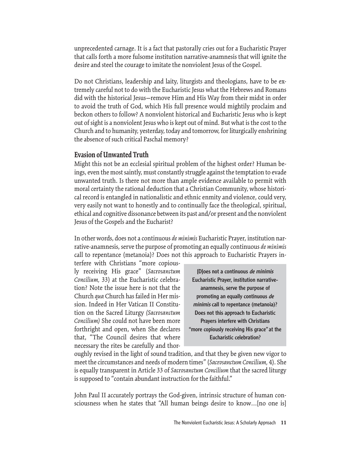unprecedented carnage. It is a fact that pastorally cries out for a Eucharistic Prayer that calls forth a more fulsome institution narrative-anamnesis that will ignite the desire and steel the courage to imitate the nonviolent Jesus of the Gospel.

Do not Christians, leadership and laity, liturgists and theologians, have to be extremely careful not to do with the Eucharistic Jesus what the Hebrews and Romans did with the historical Jesus—remove Him and His Way from their midst in order to avoid the truth of God, which His full presence would mightily proclaim and beckon others to follow? A nonviolent historical and Eucharistic Jesus who is kept out of sight is a nonviolent Jesus who is kept out of mind. But what is the cost to the Church and to humanity, yesterday, today and tomorrow, for liturgically enshrining the absence of such critical Paschal memory?

#### **Evasion of Unwanted Truth**

Might this not be an ecclesial spiritual problem of the highest order? Human beings, even the most saintly, must constantly struggle against the temptation to evade unwanted truth. Is there not more than ample evidence available to permit with moral certainty the rational deduction that a Christian Community, whose historical record is entangled in nationalistic and ethnic enmity and violence, could very, very easily not want to honestly and to continually face the theological, spiritual, ethical and cognitive dissonance between its past and/or present and the nonviolent Jesus of the Gospels and the Eucharist?

In other words, does not a continuous *de minimis* Eucharistic Prayer, institution narrative-anamnesis, serve the purpose of promoting an equally continuous *de minimis* call to repentance (metanoia)? Does not this approach to Eucharistic Prayers in-

terfere with Christians "more copiously receiving His grace" (*Sacrosanctum Concilium,* 33) at the Eucharistic celebration? Note the issue here is not that the Church *qua* Church has failed in Her mission. Indeed in Her Vatican II Constitution on the Sacred Liturgy *(Sacrosanctum Concilium)* She could not have been more forthright and open, when She declares that, "The Council desires that where necessary the rites be carefully and thor-

[D]oes not a continuous de minimis Eucharistic Prayer, institution narrativeanamnesis, serve the purpose of promoting an equally continuous de minimis call to repentance (metanoia)? Does not this approach to Eucharistic Prayers interfere with Christians "more copiously receiving His grace" at the Eucharistic celebration?

oughly revised in the light of sound tradition, and that they be given new vigor to meet the circumstances and needs of modern times" (*Sacrosanctum Concilium,* 4). She is equally transparent in Article 33 of *Sacrosanctum Concilium* that the sacred liturgy is supposed to "contain abundant instruction for the faithful."

John Paul II accurately portrays the God-given, intrinsic structure of human consciousness when he states that "All human beings desire to know…[no one is]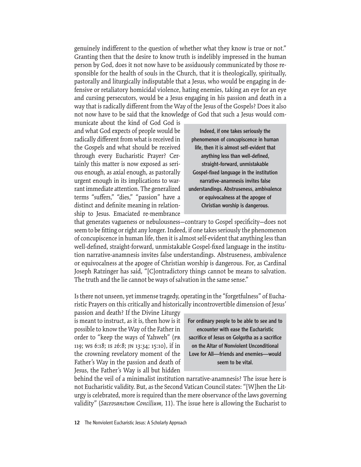genuinely indifferent to the question of whether what they know is true or not." Granting then that the desire to know truth is indelibly impressed in the human person by God, does it not now have to be assiduously communicated by those responsible for the health of souls in the Church, that it is theologically, spiritually, pastorally and liturgically indisputable that a Jesus, who would be engaging in defensive or retaliatory homicidal violence, hating enemies, taking an eye for an eye and cursing persecutors, would be a Jesus engaging in his passion and death in a way that is radically different from the Way of the Jesus of the Gospels? Does it also not now have to be said that the knowledge of God that such a Jesus would com-

municate about the kind of God God is and what God expects of people would be radically different from what is received in the Gospels and what should be received through every Eucharistic Prayer? Certainly this matter is now exposed as serious enough, as axial enough, as pastorally urgent enough in its implications to warrant immediate attention. The generalized terms "suffers," "dies," "passion" have a distinct and definite meaning in relationship to Jesus. Emaciated re-membrance

Indeed, if one takes seriously the phenomenon of concupiscence in human life, then it is almost self-evident that anything less than well-defined, straight-forward, unmistakable Gospel-fixed language in the institution narrative-anamnesis invites false understandings. Abstruseness, ambivalence or equivocalness at the apogee of Christian worship is dangerous.

that generates vagueness or nebulousness-contrary to Gospel specificity-does not seem to be fitting or right any longer. Indeed, if one takes seriously the phenomenon of concupiscence in human life, then it is almost self-evident that anything less than well-defined, straight-forward, unmistakable Gospel-fixed language in the institution narrative-anamnesis invites false understandings. Abstruseness, ambivalence or equivocalness at the apogee of Christian worship is dangerous. For, as Cardinal Joseph Ratzinger has said, "[C]ontradictory things cannot be means to salvation. The truth and the lie cannot be ways of salvation in the same sense."

Is there not unseen, yet immense tragedy, operating in the "forgetfulness" of Eucharistic Prayers on this critically and historically incontrovertible dimension of Jesus'

passion and death? If the Divine Liturgy is meant to instruct, as it is, then how is it possible to know the Way of the Father in order to "keep the ways of Yahweh" (pr 119; ws 6:18; is 26:8; jn 13:34; 15:10), if in the crowning revelatory moment of the Father's Way in the passion and death of Jesus, the Father's Way is all but hidden

For ordinary people to be able to see and to encounter with ease the Eucharistic sacrifice of Jesus on Golgotha as a sacrifice on the Altar of Nonviolent Unconditional Love for All—friends and enemies—would seem to be vital.

behind the veil of a minimalist institution narrative-anamnesis? The issue here is not Eucharistic validity. But, as the Second Vatican Council states: "[W]hen the Liturgy is celebrated, more is required than the mere observance of the laws governing validity" (*Sacrosanctum Concilium,* 11). The issue here is allowing the Eucharist to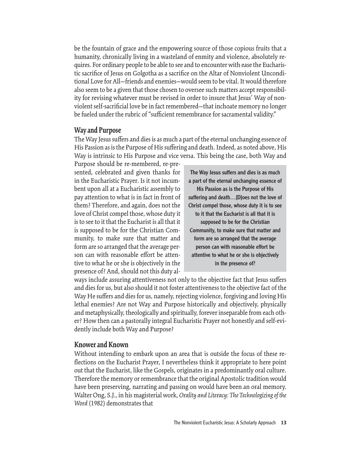be the fountain of grace and the empowering source of those copious fruits that a humanity, chronically living in a wasteland of enmity and violence, absolutely requires. For ordinary people to be able to see and to encounter with ease the Eucharistic sacrifice of Jesus on Golgotha as a sacrifice on the Altar of Nonviolent Unconditional Love for All—friends and enemies—would seem to be vital. It would therefore also seem to be a given that those chosen to oversee such matters accept responsibility for revising whatever must be revised in order to insure that Jesus' Way of nonviolent self-sacrificial love be in fact remembered—that inchoate memory no longer be fueled under the rubric of "sufficient remembrance for sacramental validity."

#### **Way and Purpose**

The Way Jesus suffers and dies is as much a part of the eternal unchanging essence of His Passion as is the Purpose of His suffering and death. Indeed, as noted above, His Way is intrinsic to His Purpose and vice versa. This being the case, both Way and

Purpose should be re-membered, re-presented, celebrated and given thanks for in the Eucharistic Prayer. Is it not incumbent upon all at a Eucharistic assembly to pay attention to what is in fact in front of them? Therefore, and again, does not the love of Christ compel those, whose duty it is to see to it that the Eucharist is all that it is supposed to be for the Christian Community, to make sure that matter and form are so arranged that the average person can with reasonable effort be attentive to what he or she is objectively in the presence of? And, should not this duty al-

The Way Jesus suffers and dies is as much a part of the eternal unchanging essence of His Passion as is the Purpose of His suffering and death…[D]oes not the love of Christ compel those, whose duty it is to see to it that the Eucharist is all that it is supposed to be for the Christian Community, to make sure that matter and form are so arranged that the average person can with reasonable effort be attentive to what he or she is objectively in the presence of?

ways include assuring attentiveness not only to the objective fact that Jesus suffers and dies for us, but also should it not foster attentiveness to the objective fact of the Way He suffers and dies for us, namely, rejecting violence, forgiving and loving His lethal enemies? Are not Way and Purpose historically and objectively, physically and metaphysically, theologically and spiritually, forever inseparable from each other? How then can a pastorally integral Eucharistic Prayer not honestly and self-evidently include both Way and Purpose?

#### **Knower and Known**

Without intending to embark upon an area that is outside the focus of these reflections on the Eucharist Prayer, I nevertheless think it appropriate to here point out that the Eucharist, like the Gospels, originates in a predominantly oral culture. Therefore the memory or remembrance that the original Apostolic tradition would have been preserving, narrating and passing on would have been an oral memory. Walter Ong, S.J., in his magisterial work, *Orality and Literacy: The Technologizing of the Word* (1982) demonstrates that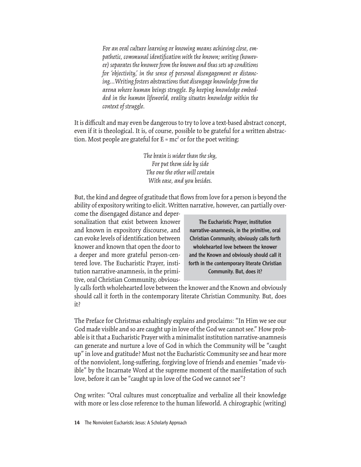*For an oral culture learning or knowing means achieving close, em*pathetic, communal identification with the known; writing (howev*er) separates the knower from the known and thus sets up conditions for 'objectivity,' in the sense of personal disengagement or distancing…Writing fosters abstractions that disengage knowledge from the arena where human beings struggle. By keeping knowledge embedded in the human lifeworld, orality situates knowledge within the context of struggle.*

It is difficult and may even be dangerous to try to love a text-based abstract concept, even if it is theological. It is, of course, possible to be grateful for a written abstraction. Most people are grateful for  $E = mc^2$  or for the poet writing:

> *The brain is wider than the sky, For put them side by side The one the other will contain With ease, and you besides.*

But, the kind and degree of gratitude that flows from love for a person is beyond the ability of expository writing to elicit. Written narrative, however, can partially over-

come the disengaged distance and depersonalization that exist between knower and known in expository discourse, and can evoke levels of identification between knower and known that open the door to a deeper and more grateful person-centered love. The Eucharistic Prayer, institution narrative-anamnesis, in the primitive, oral Christian Community, obvious-

The Eucharistic Prayer, institution narrative-anamnesis, in the primitive, oral Christian Community, obviously calls forth wholehearted love between the knower and the Known and obviously should call it forth in the contemporary literate Christian Community. But, does it?

ly calls forth wholehearted love between the knower and the Known and obviously should call it forth in the contemporary literate Christian Community. But, does it?

The Preface for Christmas exhaltingly explains and proclaims: "In Him we see our God made visible and so are caught up in love of the God we cannot see." How probable is it that a Eucharistic Prayer with a minimalist institution narrative-anamnesis can generate and nurture a love of God in which the Community will be "caught up" in love and gratitude? Must not the Eucharistic Community see and hear more of the nonviolent, long-suffering, forgiving love of friends and enemies "made visible" by the Incarnate Word at the supreme moment of the manifestation of such love, before it can be "caught up in love of the God we cannot see"?

Ong writes: "Oral cultures must conceptualize and verbalize all their knowledge with more or less close reference to the human lifeworld. A chirographic (writing)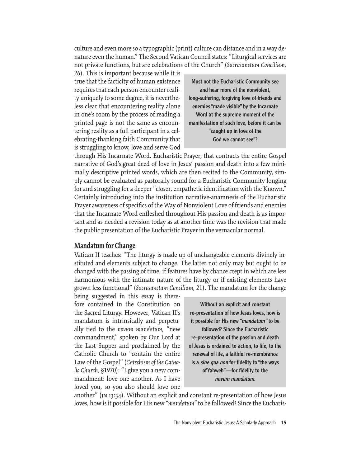culture and even more so a typographic (print) culture can distance and in a way denature even the human." The Second Vatican Council states: "Liturgical services are not private functions, but are celebrations of the Church" (*Sacrosanctum Concilium,*

26). This is important because while it is true that the facticity of human existence requires that each person encounter reality uniquely to some degree, it is nevertheless clear that encountering reality alone in one's room by the process of reading a printed page is not the same as encountering reality as a full participant in a celebrating-thanking faith Community that is struggling to know, love and serve God

Must not the Eucharistic Community see and hear more of the nonviolent, long-suffering, forgiving love of friends and enemies "made visible" by the Incarnate Word at the supreme moment of the manifestation of such love, before it can be "caught up in love of the God we cannot see"?

through His Incarnate Word. Eucharistic Prayer, that contracts the entire Gospel narrative of God's great deed of love in Jesus' passion and death into a few minimally descriptive printed words, which are then recited to the Community, simply cannot be evaluated as pastorally sound for a Eucharistic Community longing for and struggling for a deeper "closer, empathetic identification with the Known." Certainly introducing into the institution narrative-anamnesis of the Eucharistic Prayer awareness of specifics of the Way of Nonviolent Love of friends and enemies that the Incarnate Word enfleshed throughout His passion and death is as important and as needed a revision today as at another time was the revision that made the public presentation of the Eucharistic Prayer in the vernacular normal.

#### **Mandatum for Change**

Vatican II teaches: "The liturgy is made up of unchangeable elements divinely instituted and elements subject to change. The latter not only may but ought to be changed with the passing of time, if features have by chance crept in which are less harmonious with the intimate nature of the liturgy or if existing elements have grown less functional" (*Sacrosanctum Concilium,* 21). The mandatum for the change

being suggested in this essay is therefore contained in the Constitution on the Sacred Liturgy. However, Vatican II's mandatum is intrinsically and perpetually tied to the *novum mandatum,* "new commandment," spoken by Our Lord at the Last Supper and proclaimed by the Catholic Church to "contain the entire Law of the Gospel" (*Catechism of the Catholic Church,* §1970): "I give you a new commandment: love one another. As I have loved you, so you also should love one

Without an explicit and constant re-presentation of how Jesus loves, how is it possible for His new "mandatum" to be followed? Since the Eucharistic re-presentation of the passion and death of Jesus is ordained to action, to life, to the renewal of life, a faithful re-membrance is a *sine qua non* for fidelity to "the ways of Yahweh"—for fidelity to the novum mandatum.

another" (jn 13:34). Without an explicit and constant re-presentation of how Jesus loves, how is it possible for His new *"mandatum"* to be followed? Since the Eucharis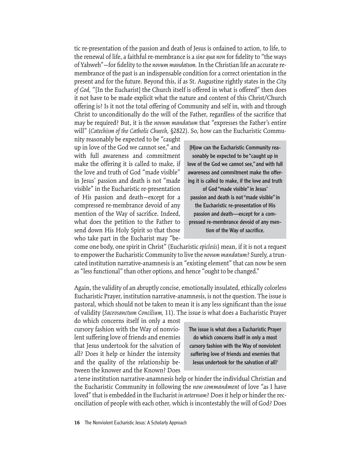tic re-presentation of the passion and death of Jesus is ordained to action, to life, to the renewal of life, a faithful re-membrance is a *sine qua non* for fidelity to "the ways of Yahweh"—for fi delity to the *novum mandatum.* In the Christian life an accurate remembrance of the past is an indispensable condition for a correct orientation in the present and for the future. Beyond this, if as St. Augustine rightly states in the *City*  of God, "[In the Eucharist] the Church itself is offered in what is offered" then does it not have to be made explicit what the nature and content of this Christ/Church offering is? Is it not the total offering of Community and self in, with and through Christ to unconditionally do the will of the Father, regardless of the sacrifice that may be required? But, it is the *novum mandatum* that "expresses the Father's entire will" (*Catechism of the Catholic Church,* §2822). So, how can the Eucharistic Commu-

nity reasonably be expected to be "caught up in love of the God we cannot see," and with full awareness and commitment make the offering it is called to make, if the love and truth of God "made visible" in Jesus' passion and death is not "made visible" in the Eucharistic re-presentation of His passion and death—except for a compressed re-membrance devoid of any mention of the Way of sacrifice. Indeed, what does the petition to the Father to send down His Holy Spirit so that those who take part in the Eucharist may "be-

[H]ow can the Eucharistic Community reasonably be expected to be "caught up in love of the God we cannot see," and with full awareness and commitment make the offering it is called to make, if the love and truth of God "made visible" in Jesus' passion and death is not "made visible" in the Eucharistic re-presentation of His passion and death—except for a compressed re-membrance devoid of any mention of the Way of sacrifice.

come one body, one spirit in Christ" (Eucharistic *epiclesis*) mean, if it is not a request to empower the Eucharistic Community to live the *novum mandatum*? Surely, a truncated institution narrative-anamnesis is an "existing element" that can now be seen as "less functional" than other options, and hence "ought to be changed."

Again, the validity of an abruptly concise, emotionally insulated, ethically colorless Eucharistic Prayer, institution narrative-anamnesis, is not the question. The issue is pastoral, which should not be taken to mean it is any less significant than the issue of validity (*Sacrosanctum Concilium,* 11). The issue is what does a Eucharistic Prayer

do which concerns itself in only a most cursory fashion with the Way of nonviolent suffering love of friends and enemies that Jesus undertook for the salvation of all? Does it help or hinder the intensity and the quality of the relationship between the knower and the Known? Does

The issue is what does a Eucharistic Prayer do which concerns itself in only a most cursory fashion with the Way of nonviolent suffering love of friends and enemies that Jesus undertook for the salvation of all?

a terse institution narrative-anamnesis help or hinder the individual Christian and the Eucharistic Community in following the *new commandment* of love "as I have loved" that is embedded in the Eucharist *in aeternum*? Does it help or hinder the reconciliation of people with each other, which is incontestably the will of God? Does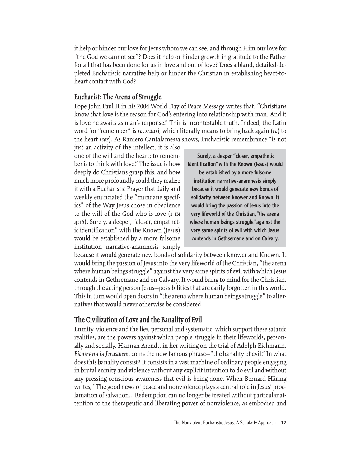it help or hinder our love for Jesus whom we can see, and through Him our love for "the God we cannot see"? Does it help or hinder growth in gratitude to the Father for all that has been done for us in love and out of love? Does a bland, detailed-depleted Eucharistic narrative help or hinder the Christian in establishing heart-toheart contact with God?

## **Eucharist: The Arena of Struggle**

Pope John Paul II in his 2004 World Day of Peace Message writes that, "Christians know that love is the reason for God's entering into relationship with man. And it is love he awaits as man's response." This is incontestable truth. Indeed, the Latin word for "remember" is *recordari,* which literally means to bring back again (*re*) to the heart (*cor*). As Raniero Cantalamessa shows, Eucharistic remembrance "is not

just an activity of the intellect, it is also one of the will and the heart; to remember is to think with love." The issue is how deeply do Christians grasp this, and how much more profoundly could they realize it with a Eucharistic Prayer that daily and weekly enunciated the "mundane specifics" of the Way Jesus chose in obedience to the will of the God who is love (1 jn 4:16). Surely, a deeper, "closer, empathetic identification" with the Known (Jesus) would be established by a more fulsome institution narrative-anamnesis simply

 Surely, a deeper, "closer, empathetic identification" with the Known (Jesus) would be established by a more fulsome institution narrative-anamnesis simply because it would generate new bonds of solidarity between knower and Known. It would bring the passion of Jesus into the very lifeworld of the Christian, "the arena where human beings struggle" against the very same spirits of evil with which Jesus contends in Gethsemane and on Calvary.

because it would generate new bonds of solidarity between knower and Known. It would bring the passion of Jesus into the very lifeworld of the Christian, "the arena where human beings struggle" against the very same spirits of evil with which Jesus contends in Gethsemane and on Calvary. It would bring to mind for the Christian, through the acting person Jesus—possibilities that are easily forgotten in this world. This in turn would open doors in "the arena where human beings struggle" to alternatives that would never otherwise be considered.

#### **The Civilization of Love and the Banality of Evil**

Enmity, violence and the lies, personal and systematic, which support these satanic realities, are the powers against which people struggle in their lifeworlds, personally and socially. Hannah Arendt, in her writing on the trial of Adolph Eichmann, *Eichmann in Jerusalem,* coins the now famous phrase—"the banality of evil." In what does this banality consist? It consists in a vast machine of ordinary people engaging in brutal enmity and violence without any explicit intention to do evil and without any pressing conscious awareness that evil is being done. When Bernard Häring writes, "The good news of peace and nonviolence plays a central role in Jesus' proclamation of salvation…Redemption can no longer be treated without particular attention to the therapeutic and liberating power of nonviolence, as embodied and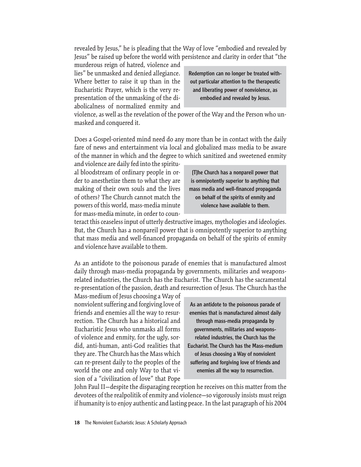revealed by Jesus," he is pleading that the Way of love "embodied and revealed by Jesus" be raised up before the world with persistence and clarity in order that "the

murderous reign of hatred, violence and lies" be unmasked and denied allegiance. Where better to raise it up than in the Eucharistic Prayer, which is the very representation of the unmasking of the diabolicalness of normalized enmity and

Redemption can no longer be treated without particular attention to the therapeutic and liberating power of nonviolence, as embodied and revealed by Jesus.

violence, as well as the revelation of the power of the Way and the Person who unmasked and conquered it.

Does a Gospel-oriented mind need do any more than be in contact with the daily fare of news and entertainment via local and globalized mass media to be aware of the manner in which and the degree to which sanitized and sweetened enmity

and violence are daily fed into the spiritual bloodstream of ordinary people in order to anesthetize them to what they are making of their own souls and the lives of others? The Church cannot match the powers of this world, mass-media minute for mass-media minute, in order to coun-

[T]he Church has a nonpareil power that is omnipotently superior to anything that mass media and well-financed propaganda on behalf of the spirits of enmity and violence have available to them.

teract this ceaseless input of utterly destructive images, mythologies and ideologies. But, the Church has a nonpareil power that is omnipotently superior to anything that mass media and well-financed propaganda on behalf of the spirits of enmity and violence have available to them.

As an antidote to the poisonous parade of enemies that is manufactured almost daily through mass-media propaganda by governments, militaries and weaponsrelated industries, the Church has the Eucharist. The Church has the sacramental re-presentation of the passion, death and resurrection of Jesus. The Church has the

Mass-medium of Jesus choosing a Way of nonviolent suffering and forgiving love of friends and enemies all the way to resurrection. The Church has a historical and Eucharistic Jesus who unmasks all forms of violence and enmity, for the ugly, sordid, anti-human, anti-God realities that they are. The Church has the Mass which can re-present daily to the peoples of the world the one and only Way to that vision of a "civilization of love" that Pope

As an antidote to the poisonous parade of enemies that is manufactured almost daily through mass-media propaganda by governments, militaries and weaponsrelated industries, the Church has the Eucharist. The Church has the Mass-medium of Jesus choosing a Way of nonviolent suffering and forgiving love of friends and enemies all the way to resurrection.

John Paul II—despite the disparaging reception he receives on this matter from the devotees of the realpolitik of enmity and violence—so vigorously insists must reign if humanity is to enjoy authentic and lasting peace. In the last paragraph of his 2004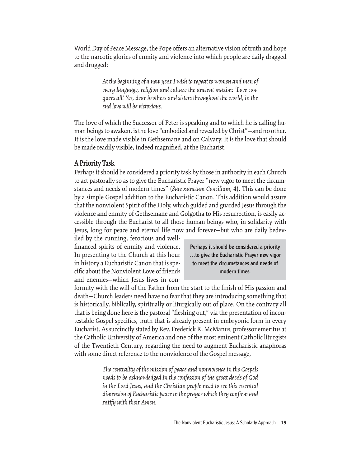World Day of Peace Message, the Pope offers an alternative vision of truth and hope to the narcotic glories of enmity and violence into which people are daily dragged and drugged:

> *At the beginning of a new year I wish to repeat to women and men of every language, religion and culture the ancient maxim: 'Love conquers all.' Yes, dear brothers and sisters throughout the world, in the end love will be victorious.*

The love of which the Successor of Peter is speaking and to which he is calling human beings to awaken, is the love "embodied and revealed by Christ"—and no other. It is the love made visible in Gethsemane and on Calvary. It is the love that should be made readily visible, indeed magnified, at the Eucharist.

## **A Priority Task**

Perhaps it should be considered a priority task by those in authority in each Church to act pastorally so as to give the Eucharistic Prayer "new vigor to meet the circumstances and needs of modern times" (*Sacrosanctum Concilium,* 4). This can be done by a simple Gospel addition to the Eucharistic Canon. This addition would assure that the nonviolent Spirit of the Holy, which guided and guarded Jesus through the violence and enmity of Gethsemane and Golgotha to His resurrection, is easily accessible through the Eucharist to all those human beings who, in solidarity with Jesus, long for peace and eternal life now and forever—but who are daily bedev-

iled by the cunning, ferocious and wellfinanced spirits of enmity and violence. In presenting to the Church at this hour in history a Eucharistic Canon that is specific about the Nonviolent Love of friends and enemies—which Jesus lives in con-

Perhaps it should be considered a priority …to give the Eucharistic Prayer new vigor to meet the circumstances and needs of modern times.

formity with the will of the Father from the start to the finish of His passion and death—Church leaders need have no fear that they are introducing something that is historically, biblically, spiritually or liturgically out of place. On the contrary all that is being done here is the pastoral "fleshing out," via the presentation of incontestable Gospel specifics, truth that is already present in embryonic form in every Eucharist. As succinctly stated by Rev. Frederick R. McManus, professor emeritus at the Catholic University of America and one of the most eminent Catholic liturgists of the Twentieth Century, regarding the need to augment Eucharistic anaphoras with some direct reference to the nonviolence of the Gospel message,

> *The centrality of the mission of peace and nonviolence in the Gospels needs to be acknowledged in the confession of the great deeds of God in the Lord Jesus, and the Christian people need to see this essential dimension of Eucharistic peace in the prayer which they confi rm and ratify with their Amen.*